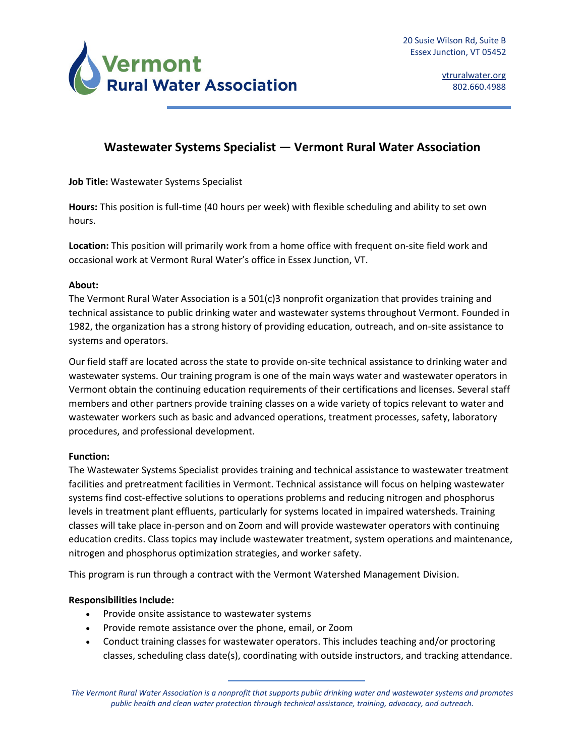

# **Wastewater Systems Specialist — Vermont Rural Water Association**

**Job Title:** Wastewater Systems Specialist

**Hours:** This position is full-time (40 hours per week) with flexible scheduling and ability to set own hours.

**Location:** This position will primarily work from a home office with frequent on-site field work and occasional work at Vermont Rural Water's office in Essex Junction, VT.

# **About:**

The Vermont Rural Water Association is a 501(c)3 nonprofit organization that provides training and technical assistance to public drinking water and wastewater systems throughout Vermont. Founded in 1982, the organization has a strong history of providing education, outreach, and on-site assistance to systems and operators.

Our field staff are located across the state to provide on-site technical assistance to drinking water and wastewater systems. Our training program is one of the main ways water and wastewater operators in Vermont obtain the continuing education requirements of their certifications and licenses. Several staff members and other partners provide training classes on a wide variety of topics relevant to water and wastewater workers such as basic and advanced operations, treatment processes, safety, laboratory procedures, and professional development.

# **Function:**

The Wastewater Systems Specialist provides training and technical assistance to wastewater treatment facilities and pretreatment facilities in Vermont. Technical assistance will focus on helping wastewater systems find cost-effective solutions to operations problems and reducing nitrogen and phosphorus levels in treatment plant effluents, particularly for systems located in impaired watersheds. Training classes will take place in-person and on Zoom and will provide wastewater operators with continuing education credits. Class topics may include wastewater treatment, system operations and maintenance, nitrogen and phosphorus optimization strategies, and worker safety.

This program is run through a contract with the Vermont Watershed Management Division.

# **Responsibilities Include:**

- Provide onsite assistance to wastewater systems
- Provide remote assistance over the phone, email, or Zoom
- Conduct training classes for wastewater operators. This includes teaching and/or proctoring classes, scheduling class date(s), coordinating with outside instructors, and tracking attendance.

*The Vermont Rural Water Association is a nonprofit that supports public drinking water and wastewater systems and promotes public health and clean water protection through technical assistance, training, advocacy, and outreach.*